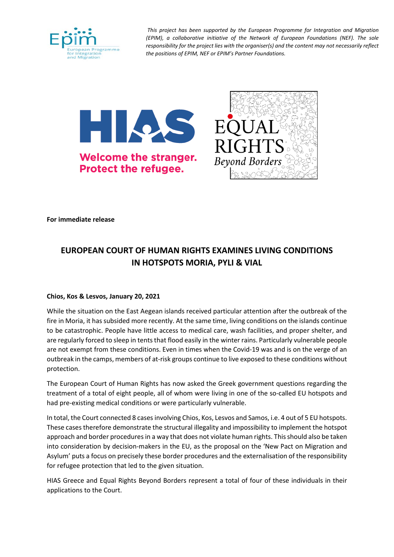

*This project has been supported by the European Programme for Integration and Migration (EPIM), a collaborative initiative of the Network of European Foundations (NEF). The sole responsibility for the project lies with the organiser(s) and the content may not necessarily reflect the positions of EPIM, NEF or EPIM's Partner Foundations.*





**For immediate release**

## **EUROPEAN COURT OF HUMAN RIGHTS EXAMINES LIVING CONDITIONS IN HOTSPOTS MORIA, PYLI & VIAL**

## **Chios, Kos & Lesvos, January 20, 2021**

While the situation on the East Aegean islands received particular attention after the outbreak of the fire in Moria, it has subsided more recently. At the same time, living conditions on the islands continue to be catastrophic. People have little access to medical care, wash facilities, and proper shelter, and are regularly forced to sleep in tents that flood easily in the winter rains. Particularly vulnerable people are not exempt from these conditions. Even in times when the Covid-19 was and is on the verge of an outbreak in the camps, members of at-risk groups continue to live exposed to these conditions without protection.

The European Court of Human Rights has now asked the Greek government questions regarding the treatment of a total of eight people, all of whom were living in one of the so-called EU hotspots and had pre-existing medical conditions or were particularly vulnerable.

In total, the Court connected 8 cases involving Chios, Kos, Lesvos and Samos, i.e. 4 out of 5 EU hotspots. These cases therefore demonstrate the structural illegality and impossibility to implement the hotspot approach and border procedures in a way that does not violate human rights. This should also be taken into consideration by decision-makers in the EU, as the proposal on the 'New Pact on Migration and Asylum' puts a focus on precisely these border procedures and the externalisation of the responsibility for refugee protection that led to the given situation.

HIAS Greece and Equal Rights Beyond Borders represent a total of four of these individuals in their applications to the Court.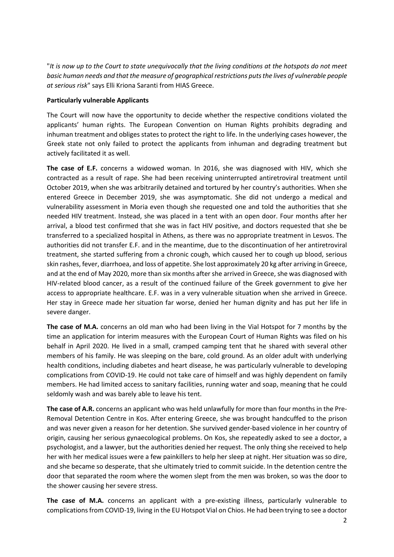"*It is now up to the Court to state unequivocally that the living conditions at the hotspots do not meet basic human needs and that the measure of geographical restrictions putsthe lives of vulnerable people at serious risk*" says Elli Kriona Saranti from HIAS Greece.

## **Particularly vulnerable Applicants**

The Court will now have the opportunity to decide whether the respective conditions violated the applicants' human rights. The European Convention on Human Rights prohibits degrading and inhuman treatment and obliges states to protect the right to life. In the underlying cases however, the Greek state not only failed to protect the applicants from inhuman and degrading treatment but actively facilitated it as well.

**The case of E.F.** concerns a widowed woman. In 2016, she was diagnosed with HIV, which she contracted as a result of rape. She had been receiving uninterrupted antiretroviral treatment until October 2019, when she was arbitrarily detained and tortured by her country's authorities. When she entered Greece in December 2019, she was asymptomatic. She did not undergo a medical and vulnerability assessment in Moria even though she requested one and told the authorities that she needed HIV treatment. Instead, she was placed in a tent with an open door. Four months after her arrival, a blood test confirmed that she was in fact HIV positive, and doctors requested that she be transferred to a specialized hospital in Athens, as there was no appropriate treatment in Lesvos. The authorities did not transfer E.F. and in the meantime, due to the discontinuation of her antiretroviral treatment, she started suffering from a chronic cough, which caused her to cough up blood, serious skin rashes, fever, diarrhoea, and loss of appetite. She lost approximately 20 kg after arriving in Greece, and at the end of May 2020, more than six months after she arrived in Greece, she was diagnosed with HIV-related blood cancer, as a result of the continued failure of the Greek government to give her access to appropriate healthcare. E.F. was in a very vulnerable situation when she arrived in Greece. Her stay in Greece made her situation far worse, denied her human dignity and has put her life in severe danger.

**The case of M.A.** concerns an old man who had been living in the Vial Hotspot for 7 months by the time an application for interim measures with the European Court of Human Rights was filed on his behalf in April 2020. He lived in a small, cramped camping tent that he shared with several other members of his family. He was sleeping on the bare, cold ground. As an older adult with underlying health conditions, including diabetes and heart disease, he was particularly vulnerable to developing complications from COVID-19. He could not take care of himself and was highly dependent on family members. He had limited access to sanitary facilities, running water and soap, meaning that he could seldomly wash and was barely able to leave his tent.

**The case of A.R.** concerns an applicant who was held unlawfully for more than four months in the Pre-Removal Detention Centre in Kos. After entering Greece, she was brought handcuffed to the prison and was never given a reason for her detention. She survived gender-based violence in her country of origin, causing her serious gynaecological problems. On Kos, she repeatedly asked to see a doctor, a psychologist, and a lawyer, but the authorities denied her request. The only thing she received to help her with her medical issues were a few painkillers to help her sleep at night. Her situation was so dire, and she became so desperate, that she ultimately tried to commit suicide. In the detention centre the door that separated the room where the women slept from the men was broken, so was the door to the shower causing her severe stress.

**The case of M.A.** concerns an applicant with a pre-existing illness, particularly vulnerable to complications from COVID-19, living in the EU Hotspot Vial on Chios. He had been trying to see a doctor